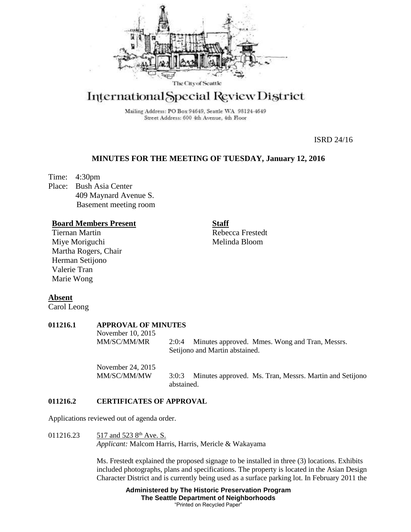

# International Special Review District

Mailing Address: PO Box 94649, Seattle WA 98124-4649 Street Address: 600 4th Avenue, 4th Floor

ISRD 24/16

## **MINUTES FOR THE MEETING OF TUESDAY, January 12, 2016**

Time: 4:30pm Place: Bush Asia Center 409 Maynard Avenue S. Basement meeting room

## **Board Members Present**

Tiernan Martin Miye Moriguchi Martha Rogers, Chair Herman Setijono Valerie Tran Marie Wong

**Staff** Rebecca Frestedt Melinda Bloom

**Absent**

Carol Leong

| 011216.1 | <b>APPROVAL OF MINUTES</b> |                                                                                           |
|----------|----------------------------|-------------------------------------------------------------------------------------------|
|          | November 10, 2015          |                                                                                           |
|          | MM/SC/MM/MR                | Minutes approved. Mmes. Wong and Tran, Messrs.<br>2:0:4<br>Setijono and Martin abstained. |
|          | November 24, 2015          |                                                                                           |

MM/SC/MM/MW 3:0:3 Minutes approved. Ms. Tran, Messrs. Martin and Setijono abstained.

## **011216.2 CERTIFICATES OF APPROVAL**

Applications reviewed out of agenda order.

011216.23 517 and 523  $8<sup>th</sup>$  Ave. S. *Applicant:* Malcom Harris, Harris, Mericle & Wakayama

> Ms. Frestedt explained the proposed signage to be installed in three (3) locations. Exhibits included photographs, plans and specifications. The property is located in the Asian Design Character District and is currently being used as a surface parking lot. In February 2011 the

> > **Administered by The Historic Preservation Program The Seattle Department of Neighborhoods** "Printed on Recycled Paper"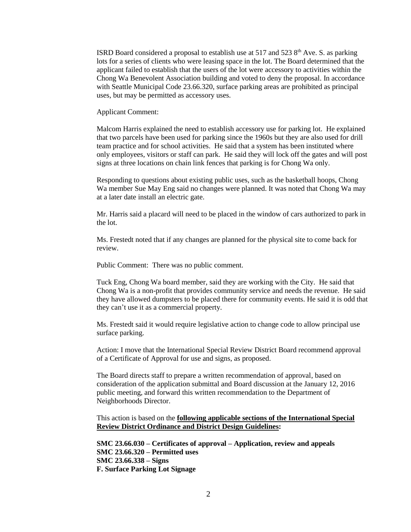ISRD Board considered a proposal to establish use at 517 and 523  $8<sup>th</sup>$  Ave. S. as parking lots for a series of clients who were leasing space in the lot. The Board determined that the applicant failed to establish that the users of the lot were accessory to activities within the Chong Wa Benevolent Association building and voted to deny the proposal. In accordance with Seattle Municipal Code 23.66.320, surface parking areas are prohibited as principal uses, but may be permitted as accessory uses.

#### Applicant Comment:

Malcom Harris explained the need to establish accessory use for parking lot. He explained that two parcels have been used for parking since the 1960s but they are also used for drill team practice and for school activities. He said that a system has been instituted where only employees, visitors or staff can park. He said they will lock off the gates and will post signs at three locations on chain link fences that parking is for Chong Wa only.

Responding to questions about existing public uses, such as the basketball hoops, Chong Wa member Sue May Eng said no changes were planned. It was noted that Chong Wa may at a later date install an electric gate.

Mr. Harris said a placard will need to be placed in the window of cars authorized to park in the lot.

Ms. Frestedt noted that if any changes are planned for the physical site to come back for review.

Public Comment: There was no public comment.

Tuck Eng, Chong Wa board member, said they are working with the City. He said that Chong Wa is a non-profit that provides community service and needs the revenue. He said they have allowed dumpsters to be placed there for community events. He said it is odd that they can't use it as a commercial property.

Ms. Frestedt said it would require legislative action to change code to allow principal use surface parking.

Action: I move that the International Special Review District Board recommend approval of a Certificate of Approval for use and signs, as proposed.

The Board directs staff to prepare a written recommendation of approval, based on consideration of the application submittal and Board discussion at the January 12, 2016 public meeting, and forward this written recommendation to the Department of Neighborhoods Director.

This action is based on the **following applicable sections of the International Special Review District Ordinance and District Design Guidelines:** 

**SMC 23.66.030 – Certificates of approval – Application, review and appeals SMC 23.66.320 – Permitted uses SMC 23.66.338 – Signs F. Surface Parking Lot Signage**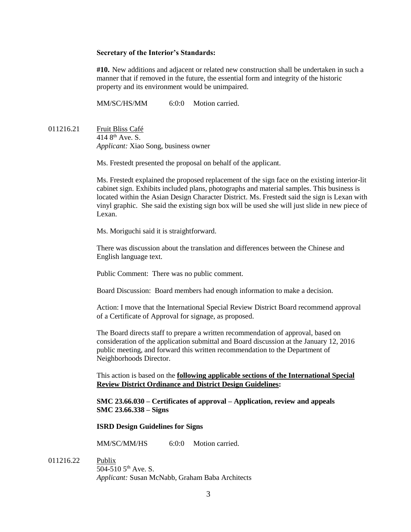#### **Secretary of the Interior's Standards:**

**#10.** New additions and adjacent or related new construction shall be undertaken in such a manner that if removed in the future, the essential form and integrity of the historic property and its environment would be unimpaired.

MM/SC/HS/MM 6:0:0 Motion carried.

011216.21 Fruit Bliss Café 414 8th Ave. S. *Applicant:* Xiao Song, business owner

Ms. Frestedt presented the proposal on behalf of the applicant.

Ms. Frestedt explained the proposed replacement of the sign face on the existing interior-lit cabinet sign. Exhibits included plans, photographs and material samples. This business is located within the Asian Design Character District. Ms. Frestedt said the sign is Lexan with vinyl graphic. She said the existing sign box will be used she will just slide in new piece of Lexan.

Ms. Moriguchi said it is straightforward.

There was discussion about the translation and differences between the Chinese and English language text.

Public Comment: There was no public comment.

Board Discussion: Board members had enough information to make a decision.

Action: I move that the International Special Review District Board recommend approval of a Certificate of Approval for signage, as proposed.

The Board directs staff to prepare a written recommendation of approval, based on consideration of the application submittal and Board discussion at the January 12, 2016 public meeting, and forward this written recommendation to the Department of Neighborhoods Director.

This action is based on the **following applicable sections of the International Special Review District Ordinance and District Design Guidelines:** 

**SMC 23.66.030 – Certificates of approval – Application, review and appeals SMC 23.66.338 – Signs**

## **ISRD Design Guidelines for Signs**

MM/SC/MM/HS 6:0:0 Motion carried.

011216.22 Publix

504-510  $5^{th}$  Ave. S. *Applicant:* Susan McNabb, Graham Baba Architects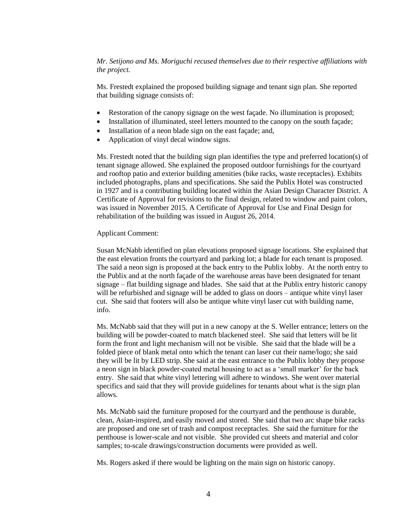*Mr. Setijono and Ms. Moriguchi recused themselves due to their respective affiliations with the project.*

Ms. Frestedt explained the proposed building signage and tenant sign plan. She reported that building signage consists of:

- Restoration of the canopy signage on the west façade. No illumination is proposed;
- Installation of illuminated, steel letters mounted to the canopy on the south façade;
- Installation of a neon blade sign on the east façade; and,
- Application of vinyl decal window signs.

Ms. Frestedt noted that the building sign plan identifies the type and preferred location(s) of tenant signage allowed. She explained the proposed outdoor furnishings for the courtyard and rooftop patio and exterior building amenities (bike racks, waste receptacles). Exhibits included photographs, plans and specifications. She said the Publix Hotel was constructed in 1927 and is a contributing building located within the Asian Design Character District. A Certificate of Approval for revisions to the final design, related to window and paint colors, was issued in November 2015. A Certificate of Approval for Use and Final Design for rehabilitation of the building was issued in August 26, 2014.

#### Applicant Comment:

Susan McNabb identified on plan elevations proposed signage locations. She explained that the east elevation fronts the courtyard and parking lot; a blade for each tenant is proposed. The said a neon sign is proposed at the back entry to the Publix lobby. At the north entry to the Publix and at the north façade of the warehouse areas have been designated for tenant signage – flat building signage and blades. She said that at the Publix entry historic canopy will be refurbished and signage will be added to glass on doors – antique white vinyl laser cut. She said that footers will also be antique white vinyl laser cut with building name, info.

Ms. McNabb said that they will put in a new canopy at the S. Weller entrance; letters on the building will be powder-coated to match blackened steel. She said that letters will be lit form the front and light mechanism will not be visible. She said that the blade will be a folded piece of blank metal onto which the tenant can laser cut their name/logo; she said they will be lit by LED strip. She said at the east entrance to the Publix lobby they propose a neon sign in black powder-coated metal housing to act as a 'small marker' for the back entry. She said that white vinyl lettering will adhere to windows. She went over material specifics and said that they will provide guidelines for tenants about what is the sign plan allows.

Ms. McNabb said the furniture proposed for the courtyard and the penthouse is durable, clean, Asian-inspired, and easily moved and stored. She said that two arc shape bike racks are proposed and one set of trash and compost receptacles. She said the furniture for the penthouse is lower-scale and not visible. She provided cut sheets and material and color samples; to-scale drawings/construction documents were provided as well.

Ms. Rogers asked if there would be lighting on the main sign on historic canopy.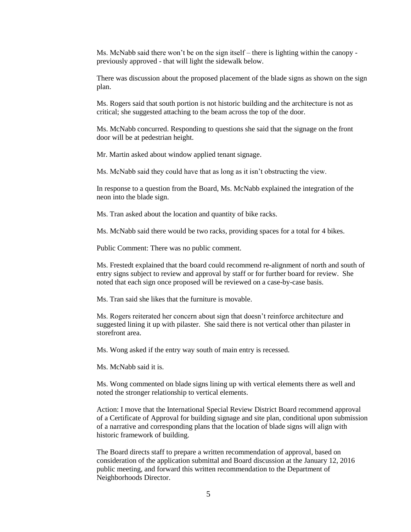Ms. McNabb said there won't be on the sign itself – there is lighting within the canopy previously approved - that will light the sidewalk below.

There was discussion about the proposed placement of the blade signs as shown on the sign plan.

Ms. Rogers said that south portion is not historic building and the architecture is not as critical; she suggested attaching to the beam across the top of the door.

Ms. McNabb concurred. Responding to questions she said that the signage on the front door will be at pedestrian height.

Mr. Martin asked about window applied tenant signage.

Ms. McNabb said they could have that as long as it isn't obstructing the view.

In response to a question from the Board, Ms. McNabb explained the integration of the neon into the blade sign.

Ms. Tran asked about the location and quantity of bike racks.

Ms. McNabb said there would be two racks, providing spaces for a total for 4 bikes.

Public Comment: There was no public comment.

Ms. Frestedt explained that the board could recommend re-alignment of north and south of entry signs subject to review and approval by staff or for further board for review. She noted that each sign once proposed will be reviewed on a case-by-case basis.

Ms. Tran said she likes that the furniture is movable.

Ms. Rogers reiterated her concern about sign that doesn't reinforce architecture and suggested lining it up with pilaster. She said there is not vertical other than pilaster in storefront area.

Ms. Wong asked if the entry way south of main entry is recessed.

Ms. McNabb said it is.

Ms. Wong commented on blade signs lining up with vertical elements there as well and noted the stronger relationship to vertical elements.

Action: I move that the International Special Review District Board recommend approval of a Certificate of Approval for building signage and site plan, conditional upon submission of a narrative and corresponding plans that the location of blade signs will align with historic framework of building.

The Board directs staff to prepare a written recommendation of approval, based on consideration of the application submittal and Board discussion at the January 12, 2016 public meeting, and forward this written recommendation to the Department of Neighborhoods Director.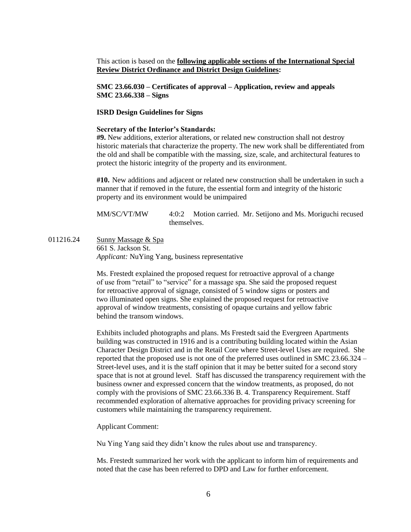This action is based on the **following applicable sections of the International Special Review District Ordinance and District Design Guidelines:** 

**SMC 23.66.030 – Certificates of approval – Application, review and appeals SMC 23.66.338 – Signs**

#### **ISRD Design Guidelines for Signs**

#### **Secretary of the Interior's Standards:**

**#9.** New additions, exterior alterations, or related new construction shall not destroy historic materials that characterize the property. The new work shall be differentiated from the old and shall be compatible with the massing, size, scale, and architectural features to protect the historic integrity of the property and its environment.

**#10.** New additions and adjacent or related new construction shall be undertaken in such a manner that if removed in the future, the essential form and integrity of the historic property and its environment would be unimpaired

MM/SC/VT/MW 4:0:2 Motion carried. Mr. Setijono and Ms. Moriguchi recused themselves.

011216.24 Sunny Massage & Spa 661 S. Jackson St. *Applicant:* NuYing Yang, business representative

> Ms. Frestedt explained the proposed request for retroactive approval of a change of use from "retail" to "service" for a massage spa. She said the proposed request for retroactive approval of signage, consisted of 5 window signs or posters and two illuminated open signs. She explained the proposed request for retroactive approval of window treatments, consisting of opaque curtains and yellow fabric behind the transom windows.

Exhibits included photographs and plans. Ms Frestedt said the Evergreen Apartments building was constructed in 1916 and is a contributing building located within the Asian Character Design District and in the Retail Core where Street-level Uses are required. She reported that the proposed use is not one of the preferred uses outlined in SMC 23.66.324 – Street-level uses, and it is the staff opinion that it may be better suited for a second story space that is not at ground level. Staff has discussed the transparency requirement with the business owner and expressed concern that the window treatments, as proposed, do not comply with the provisions of SMC 23.66.336 B. 4. Transparency Requirement. Staff recommended exploration of alternative approaches for providing privacy screening for customers while maintaining the transparency requirement.

Applicant Comment:

Nu Ying Yang said they didn't know the rules about use and transparency.

Ms. Frestedt summarized her work with the applicant to inform him of requirements and noted that the case has been referred to DPD and Law for further enforcement.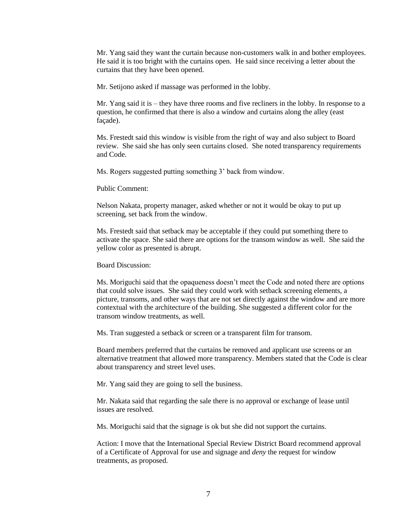Mr. Yang said they want the curtain because non-customers walk in and bother employees. He said it is too bright with the curtains open. He said since receiving a letter about the curtains that they have been opened.

Mr. Setijono asked if massage was performed in the lobby.

Mr. Yang said it is – they have three rooms and five recliners in the lobby. In response to a question, he confirmed that there is also a window and curtains along the alley (east façade).

Ms. Frestedt said this window is visible from the right of way and also subject to Board review. She said she has only seen curtains closed. She noted transparency requirements and Code.

Ms. Rogers suggested putting something 3' back from window.

Public Comment:

Nelson Nakata, property manager, asked whether or not it would be okay to put up screening, set back from the window.

Ms. Frestedt said that setback may be acceptable if they could put something there to activate the space. She said there are options for the transom window as well. She said the yellow color as presented is abrupt.

Board Discussion:

Ms. Moriguchi said that the opaqueness doesn't meet the Code and noted there are options that could solve issues. She said they could work with setback screening elements, a picture, transoms, and other ways that are not set directly against the window and are more contextual with the architecture of the building. She suggested a different color for the transom window treatments, as well.

Ms. Tran suggested a setback or screen or a transparent film for transom.

Board members preferred that the curtains be removed and applicant use screens or an alternative treatment that allowed more transparency. Members stated that the Code is clear about transparency and street level uses.

Mr. Yang said they are going to sell the business.

Mr. Nakata said that regarding the sale there is no approval or exchange of lease until issues are resolved.

Ms. Moriguchi said that the signage is ok but she did not support the curtains.

Action: I move that the International Special Review District Board recommend approval of a Certificate of Approval for use and signage and *deny* the request for window treatments, as proposed.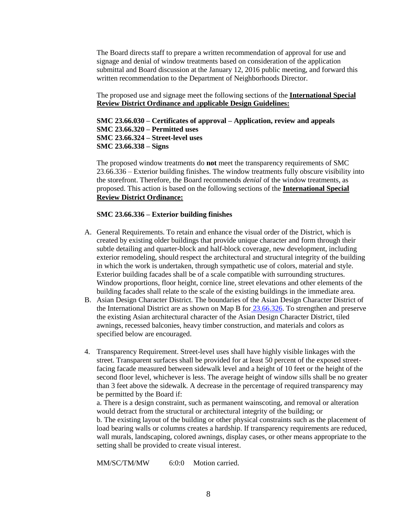The Board directs staff to prepare a written recommendation of approval for use and signage and denial of window treatments based on consideration of the application submittal and Board discussion at the January 12, 2016 public meeting, and forward this written recommendation to the Department of Neighborhoods Director.

The proposed use and signage meet the following sections of the **International Special Review District Ordinance and** a**pplicable Design Guidelines:**

**SMC 23.66.030 – Certificates of approval – Application, review and appeals SMC 23.66.320 – Permitted uses SMC 23.66.324 – Street-level uses SMC 23.66.338 – Signs**

The proposed window treatments do **not** meet the transparency requirements of SMC 23.66.336 – Exterior building finishes. The window treatments fully obscure visibility into the storefront. Therefore, the Board recommends *denial* of the window treatments, as proposed. This action is based on the following sections of the **International Special Review District Ordinance:**

## **SMC 23.66.336 – Exterior building finishes**

- A. General Requirements. To retain and enhance the visual order of the District, which is created by existing older buildings that provide unique character and form through their subtle detailing and quarter-block and half-block coverage, new development, including exterior remodeling, should respect the architectural and structural integrity of the building in which the work is undertaken, through sympathetic use of colors, material and style. Exterior building facades shall be of a scale compatible with surrounding structures. Window proportions, floor height, cornice line, street elevations and other elements of the building facades shall relate to the scale of the existing buildings in the immediate area.
- B. Asian Design Character District. The boundaries of the Asian Design Character District of the International District are as shown on Map B for [23.66.326.](https://www.municode.com/library/) To strengthen and preserve the existing Asian architectural character of the Asian Design Character District, tiled awnings, recessed balconies, heavy timber construction, and materials and colors as specified below are encouraged.
- 4. Transparency Requirement. Street-level uses shall have highly visible linkages with the street. Transparent surfaces shall be provided for at least 50 percent of the exposed streetfacing facade measured between sidewalk level and a height of 10 feet or the height of the second floor level, whichever is less. The average height of window sills shall be no greater than 3 feet above the sidewalk. A decrease in the percentage of required transparency may be permitted by the Board if:

a. There is a design constraint, such as permanent wainscoting, and removal or alteration would detract from the structural or architectural integrity of the building; or b. The existing layout of the building or other physical constraints such as the placement of load bearing walls or columns creates a hardship. If transparency requirements are reduced, wall murals, landscaping, colored awnings, display cases, or other means appropriate to the setting shall be provided to create visual interest.

MM/SC/TM/MW 6:0:0 Motion carried.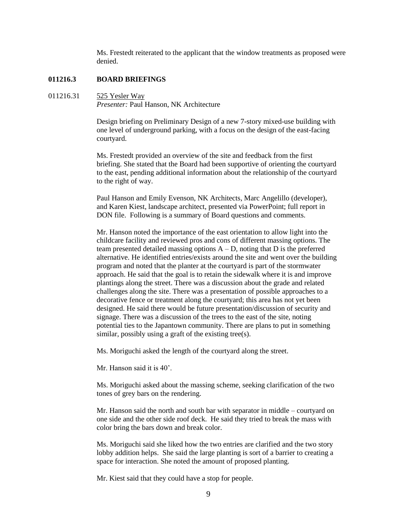Ms. Frestedt reiterated to the applicant that the window treatments as proposed were denied.

## **011216.3 BOARD BRIEFINGS**

#### 011216.31 525 Yesler Way

*Presenter:* Paul Hanson, NK Architecture

Design briefing on Preliminary Design of a new 7-story mixed-use building with one level of underground parking, with a focus on the design of the east-facing courtyard.

Ms. Frestedt provided an overview of the site and feedback from the first briefing. She stated that the Board had been supportive of orienting the courtyard to the east, pending additional information about the relationship of the courtyard to the right of way.

Paul Hanson and Emily Evenson, NK Architects, Marc Angelillo (developer), and Karen Kiest, landscape architect, presented via PowerPoint; full report in DON file. Following is a summary of Board questions and comments.

Mr. Hanson noted the importance of the east orientation to allow light into the childcare facility and reviewed pros and cons of different massing options. The team presented detailed massing options  $A - D$ , noting that D is the preferred alternative. He identified entries/exists around the site and went over the building program and noted that the planter at the courtyard is part of the stormwater approach. He said that the goal is to retain the sidewalk where it is and improve plantings along the street. There was a discussion about the grade and related challenges along the site. There was a presentation of possible approaches to a decorative fence or treatment along the courtyard; this area has not yet been designed. He said there would be future presentation/discussion of security and signage. There was a discussion of the trees to the east of the site, noting potential ties to the Japantown community. There are plans to put in something similar, possibly using a graft of the existing tree(s).

Ms. Moriguchi asked the length of the courtyard along the street.

Mr. Hanson said it is 40'.

Ms. Moriguchi asked about the massing scheme, seeking clarification of the two tones of grey bars on the rendering.

Mr. Hanson said the north and south bar with separator in middle – courtyard on one side and the other side roof deck. He said they tried to break the mass with color bring the bars down and break color.

Ms. Moriguchi said she liked how the two entries are clarified and the two story lobby addition helps. She said the large planting is sort of a barrier to creating a space for interaction. She noted the amount of proposed planting.

Mr. Kiest said that they could have a stop for people.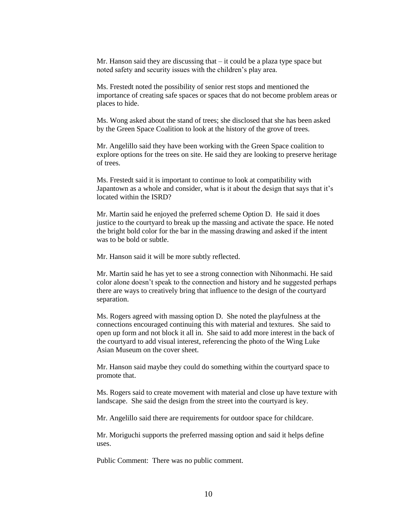Mr. Hanson said they are discussing that – it could be a plaza type space but noted safety and security issues with the children's play area.

Ms. Frestedt noted the possibility of senior rest stops and mentioned the importance of creating safe spaces or spaces that do not become problem areas or places to hide.

Ms. Wong asked about the stand of trees; she disclosed that she has been asked by the Green Space Coalition to look at the history of the grove of trees.

Mr. Angelillo said they have been working with the Green Space coalition to explore options for the trees on site. He said they are looking to preserve heritage of trees.

Ms. Frestedt said it is important to continue to look at compatibility with Japantown as a whole and consider, what is it about the design that says that it's located within the ISRD?

Mr. Martin said he enjoyed the preferred scheme Option D. He said it does justice to the courtyard to break up the massing and activate the space. He noted the bright bold color for the bar in the massing drawing and asked if the intent was to be bold or subtle.

Mr. Hanson said it will be more subtly reflected.

Mr. Martin said he has yet to see a strong connection with Nihonmachi. He said color alone doesn't speak to the connection and history and he suggested perhaps there are ways to creatively bring that influence to the design of the courtyard separation.

Ms. Rogers agreed with massing option D. She noted the playfulness at the connections encouraged continuing this with material and textures. She said to open up form and not block it all in. She said to add more interest in the back of the courtyard to add visual interest, referencing the photo of the Wing Luke Asian Museum on the cover sheet.

Mr. Hanson said maybe they could do something within the courtyard space to promote that.

Ms. Rogers said to create movement with material and close up have texture with landscape. She said the design from the street into the courtyard is key.

Mr. Angelillo said there are requirements for outdoor space for childcare.

Mr. Moriguchi supports the preferred massing option and said it helps define uses.

Public Comment: There was no public comment.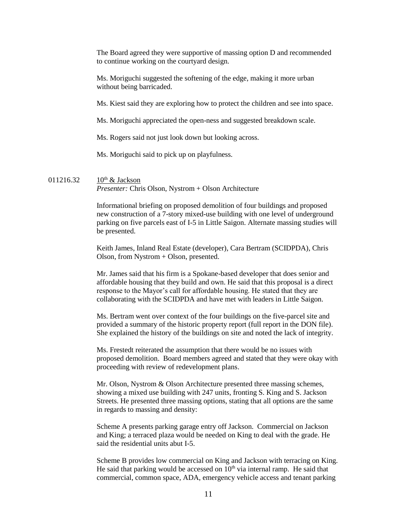The Board agreed they were supportive of massing option D and recommended to continue working on the courtyard design.

Ms. Moriguchi suggested the softening of the edge, making it more urban without being barricaded.

Ms. Kiest said they are exploring how to protect the children and see into space.

Ms. Moriguchi appreciated the open-ness and suggested breakdown scale.

Ms. Rogers said not just look down but looking across.

Ms. Moriguchi said to pick up on playfulness.

## 011216.32  $10^{th}$  & Jackson *Presenter:* Chris Olson, Nystrom + Olson Architecture

Informational briefing on proposed demolition of four buildings and proposed new construction of a 7-story mixed-use building with one level of underground parking on five parcels east of I-5 in Little Saigon. Alternate massing studies will be presented.

Keith James, Inland Real Estate (developer), Cara Bertram (SCIDPDA), Chris Olson, from Nystrom + Olson, presented.

Mr. James said that his firm is a Spokane-based developer that does senior and affordable housing that they build and own. He said that this proposal is a direct response to the Mayor's call for affordable housing. He stated that they are collaborating with the SCIDPDA and have met with leaders in Little Saigon.

Ms. Bertram went over context of the four buildings on the five-parcel site and provided a summary of the historic property report (full report in the DON file). She explained the history of the buildings on site and noted the lack of integrity.

Ms. Frestedt reiterated the assumption that there would be no issues with proposed demolition. Board members agreed and stated that they were okay with proceeding with review of redevelopment plans.

Mr. Olson, Nystrom & Olson Architecture presented three massing schemes, showing a mixed use building with 247 units, fronting S. King and S. Jackson Streets. He presented three massing options, stating that all options are the same in regards to massing and density:

Scheme A presents parking garage entry off Jackson. Commercial on Jackson and King; a terraced plaza would be needed on King to deal with the grade. He said the residential units abut I-5.

Scheme B provides low commercial on King and Jackson with terracing on King. He said that parking would be accessed on  $10<sup>th</sup>$  via internal ramp. He said that commercial, common space, ADA, emergency vehicle access and tenant parking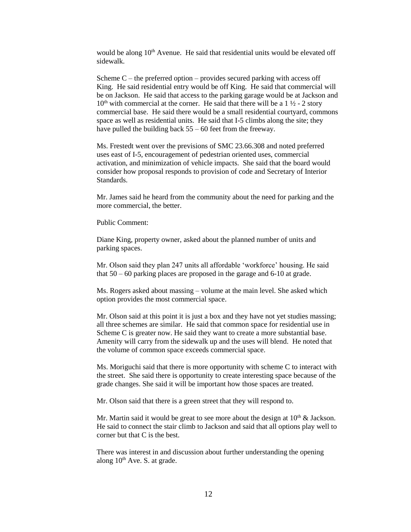would be along  $10<sup>th</sup>$  Avenue. He said that residential units would be elevated off sidewalk.

Scheme  $C$  – the preferred option – provides secured parking with access off King. He said residential entry would be off King. He said that commercial will be on Jackson. He said that access to the parking garage would be at Jackson and  $10<sup>th</sup>$  with commercial at the corner. He said that there will be a 1  $\frac{1}{2}$  - 2 story commercial base. He said there would be a small residential courtyard, commons space as well as residential units. He said that I-5 climbs along the site; they have pulled the building back  $55 - 60$  feet from the freeway.

Ms. Frestedt went over the previsions of SMC 23.66.308 and noted preferred uses east of I-5, encouragement of pedestrian oriented uses, commercial activation, and minimization of vehicle impacts. She said that the board would consider how proposal responds to provision of code and Secretary of Interior Standards.

Mr. James said he heard from the community about the need for parking and the more commercial, the better.

Public Comment:

Diane King, property owner, asked about the planned number of units and parking spaces.

Mr. Olson said they plan 247 units all affordable 'workforce' housing. He said that 50 – 60 parking places are proposed in the garage and 6-10 at grade.

Ms. Rogers asked about massing – volume at the main level. She asked which option provides the most commercial space.

Mr. Olson said at this point it is just a box and they have not yet studies massing; all three schemes are similar. He said that common space for residential use in Scheme C is greater now. He said they want to create a more substantial base. Amenity will carry from the sidewalk up and the uses will blend. He noted that the volume of common space exceeds commercial space.

Ms. Moriguchi said that there is more opportunity with scheme C to interact with the street. She said there is opportunity to create interesting space because of the grade changes. She said it will be important how those spaces are treated.

Mr. Olson said that there is a green street that they will respond to.

Mr. Martin said it would be great to see more about the design at  $10<sup>th</sup>$  & Jackson. He said to connect the stair climb to Jackson and said that all options play well to corner but that C is the best.

There was interest in and discussion about further understanding the opening along  $10<sup>th</sup>$  Ave. S. at grade.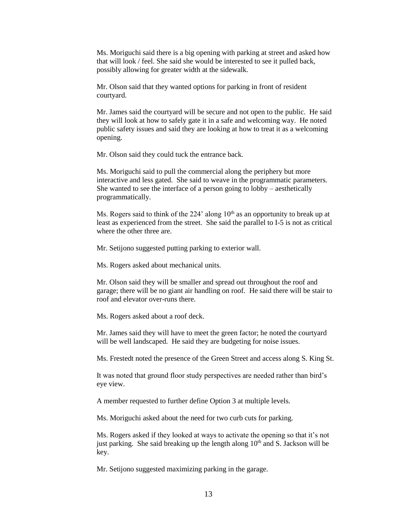Ms. Moriguchi said there is a big opening with parking at street and asked how that will look / feel. She said she would be interested to see it pulled back, possibly allowing for greater width at the sidewalk.

Mr. Olson said that they wanted options for parking in front of resident courtyard.

Mr. James said the courtyard will be secure and not open to the public. He said they will look at how to safely gate it in a safe and welcoming way. He noted public safety issues and said they are looking at how to treat it as a welcoming opening.

Mr. Olson said they could tuck the entrance back.

Ms. Moriguchi said to pull the commercial along the periphery but more interactive and less gated. She said to weave in the programmatic parameters. She wanted to see the interface of a person going to lobby – aesthetically programmatically.

Ms. Rogers said to think of the  $224'$  along  $10<sup>th</sup>$  as an opportunity to break up at least as experienced from the street. She said the parallel to I-5 is not as critical where the other three are.

Mr. Setijono suggested putting parking to exterior wall.

Ms. Rogers asked about mechanical units.

Mr. Olson said they will be smaller and spread out throughout the roof and garage; there will be no giant air handling on roof. He said there will be stair to roof and elevator over-runs there.

Ms. Rogers asked about a roof deck.

Mr. James said they will have to meet the green factor; he noted the courtyard will be well landscaped. He said they are budgeting for noise issues.

Ms. Frestedt noted the presence of the Green Street and access along S. King St.

It was noted that ground floor study perspectives are needed rather than bird's eye view.

A member requested to further define Option 3 at multiple levels.

Ms. Moriguchi asked about the need for two curb cuts for parking.

Ms. Rogers asked if they looked at ways to activate the opening so that it's not just parking. She said breaking up the length along  $10<sup>th</sup>$  and S. Jackson will be key.

Mr. Setijono suggested maximizing parking in the garage.